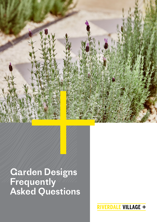

# Garden Designs **Frequently** Asked Questions

**RIVERDALE VILLAGE +**